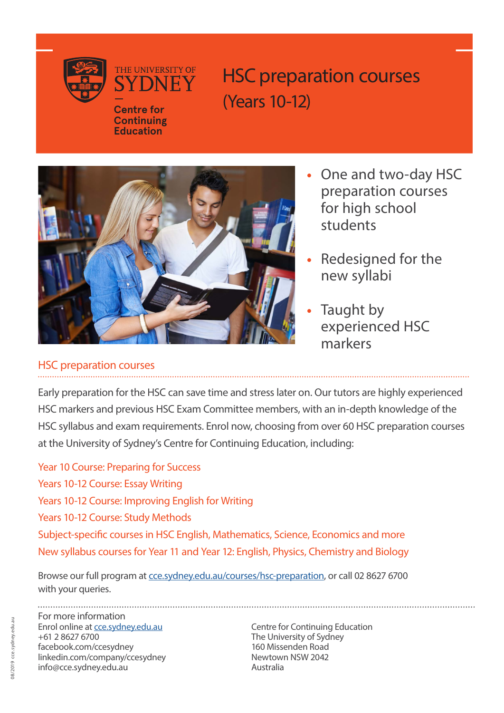



THE UNIVERSITY OF

**Continuing Education**

HSC preparation courses (Years 10-12)



- One and two-day HSC preparation courses for high school students
- Redesigned for the new syllabi
- Taught by experienced HSC markers

## HSC preparation courses

Early preparation for the HSC can save time and stress later on. Our tutors are highly experienced HSC markers and previous HSC Exam Committee members, with an in-depth knowledge of the HSC syllabus and exam requirements. Enrol now, choosing from over 60 HSC preparation courses at the University of Sydney's Centre for Continuing Education, including:

Year 10 Course: Preparing for Success Years 10-12 Course: Essay Writing Years 10-12 Course: Improving English for Writing Years 10-12 Course: Study Methods Subject-specific courses in HSC English, Mathematics, Science, Economics and more New syllabus courses for Year 11 and Year 12: English, Physics, Chemistry and Biology

Browse our full program at [cce.sydney.edu.au/courses/hsc-preparation,](http://cce.sydney.edu.au/courses/hsc-preparation) or call 02 8627 6700 with your queries.

For more information Enrol online at [cce.sydney.edu.au](http://cce.sydney.edu.au) Centre for Continuing Education +61 2 8627 6700 The University of Sydney facebook.com/ccesydney 160 Missenden Road linkedin.com/company/ccesydney info@cce.sydney.edu.au Australia